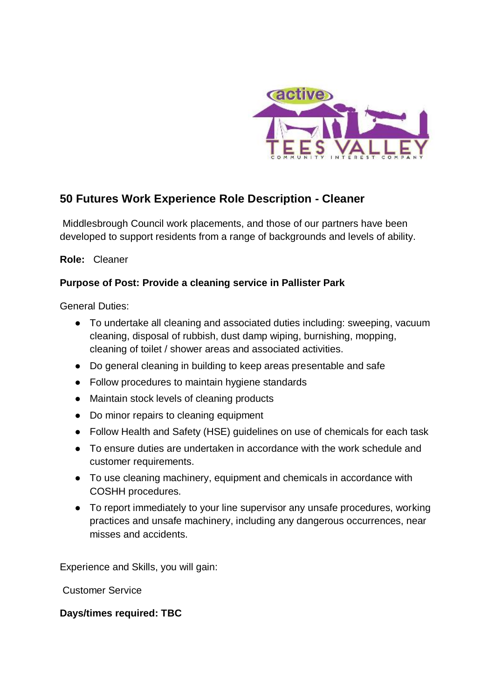

# **50 Futures Work Experience Role Description - Cleaner**

Middlesbrough Council work placements, and those of our partners have been developed to support residents from a range of backgrounds and levels of ability.

**Role:** Cleaner

## **Purpose of Post: Provide a cleaning service in Pallister Park**

General Duties:

- To undertake all cleaning and associated duties including: sweeping, vacuum cleaning, disposal of rubbish, dust damp wiping, burnishing, mopping, cleaning of toilet / shower areas and associated activities.
- Do general cleaning in building to keep areas presentable and safe
- Follow procedures to maintain hygiene standards
- Maintain stock levels of cleaning products
- Do minor repairs to cleaning equipment
- Follow Health and Safety (HSE) guidelines on use of chemicals for each task
- To ensure duties are undertaken in accordance with the work schedule and customer requirements.
- To use cleaning machinery, equipment and chemicals in accordance with COSHH procedures.
- To report immediately to your line supervisor any unsafe procedures, working practices and unsafe machinery, including any dangerous occurrences, near misses and accidents.

Experience and Skills, you will gain:

Customer Service

### **Days/times required: TBC**